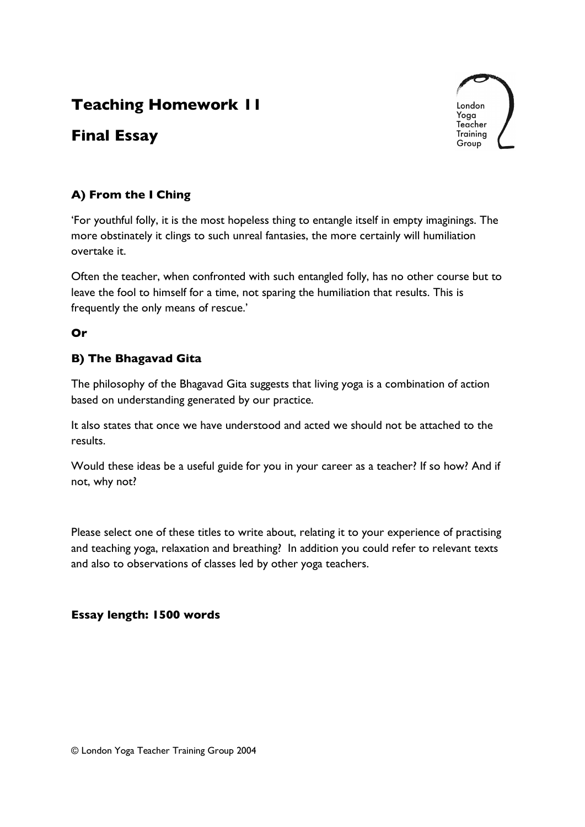# **Teaching Homework 11**

# **Final Essay**



## **A) From the I Ching**

'For youthful folly, it is the most hopeless thing to entangle itself in empty imaginings. The more obstinately it clings to such unreal fantasies, the more certainly will humiliation overtake it.

Often the teacher, when confronted with such entangled folly, has no other course but to leave the fool to himself for a time, not sparing the humiliation that results. This is frequently the only means of rescue.'

## **Or**

## **B) The Bhagavad Gita**

The philosophy of the Bhagavad Gita suggests that living yoga is a combination of action based on understanding generated by our practice.

It also states that once we have understood and acted we should not be attached to the results.

Would these ideas be a useful guide for you in your career as a teacher? If so how? And if not, why not?

Please select one of these titles to write about, relating it to your experience of practising and teaching yoga, relaxation and breathing? In addition you could refer to relevant texts and also to observations of classes led by other yoga teachers.

### **Essay length: 1500 words**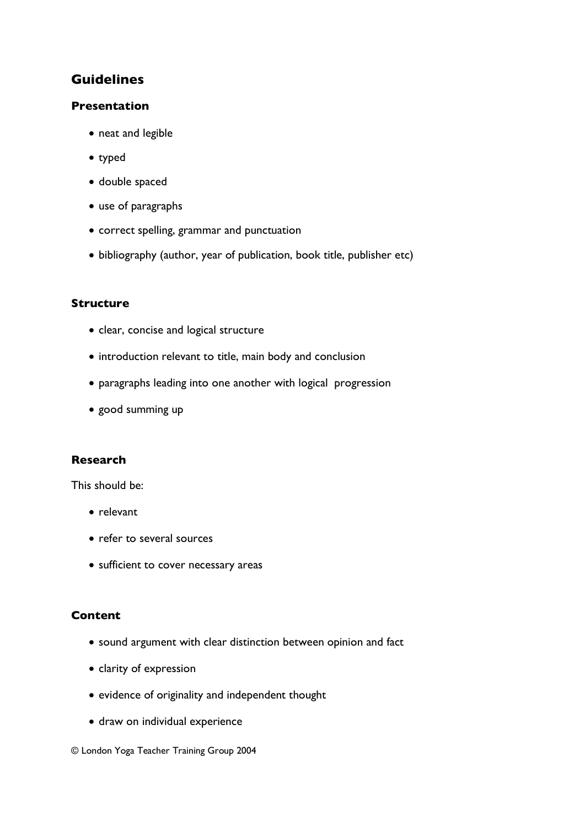# **Guidelines**

### **Presentation**

- neat and legible
- typed
- double spaced
- use of paragraphs
- correct spelling, grammar and punctuation
- bibliography (author, year of publication, book title, publisher etc)

### **Structure**

- clear, concise and logical structure
- introduction relevant to title, main body and conclusion
- paragraphs leading into one another with logical progression
- good summing up

### **Research**

This should be:

- relevant
- refer to several sources
- sufficient to cover necessary areas

#### **Content**

- sound argument with clear distinction between opinion and fact
- clarity of expression
- evidence of originality and independent thought
- draw on individual experience

#### © London Yoga Teacher Training Group 2004